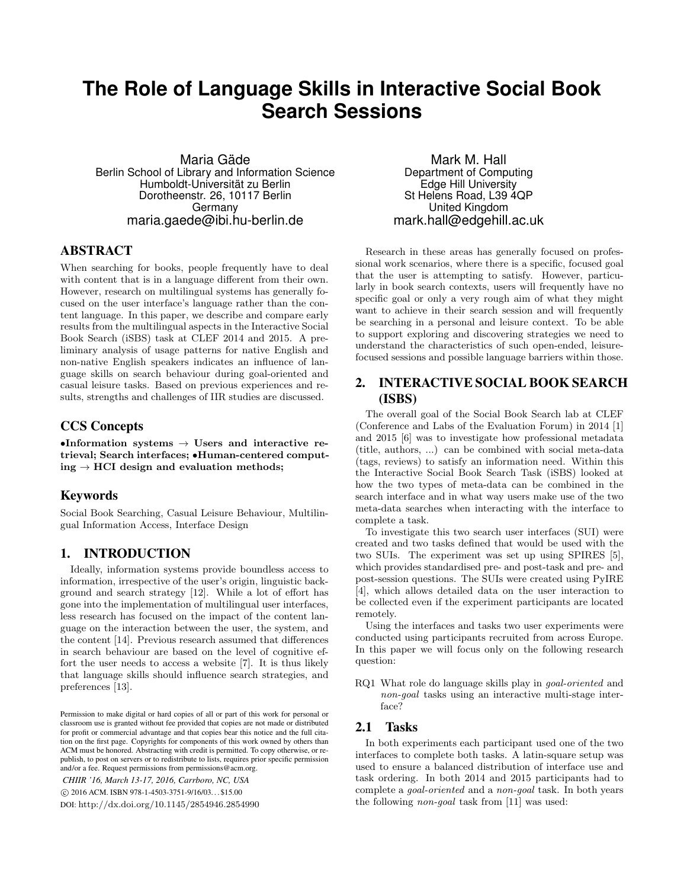# **The Role of Language Skills in Interactive Social Book Search Sessions**

Maria Gäde Berlin School of Library and Information Science Humboldt-Universität zu Berlin Dorotheenstr. 26, 10117 Berlin Germany maria.gaede@ibi.hu-berlin.de

### ABSTRACT

When searching for books, people frequently have to deal with content that is in a language different from their own. However, research on multilingual systems has generally focused on the user interface's language rather than the content language. In this paper, we describe and compare early results from the multilingual aspects in the Interactive Social Book Search (iSBS) task at CLEF 2014 and 2015. A preliminary analysis of usage patterns for native English and non-native English speakers indicates an influence of language skills on search behaviour during goal-oriented and casual leisure tasks. Based on previous experiences and results, strengths and challenges of IIR studies are discussed.

### CCS Concepts

•Information systems  $\rightarrow$  Users and interactive retrieval; Search interfaces; •Human-centered comput $ing \rightarrow HCI$  design and evaluation methods;

### Keywords

Social Book Searching, Casual Leisure Behaviour, Multilingual Information Access, Interface Design

### 1. INTRODUCTION

Ideally, information systems provide boundless access to information, irrespective of the user's origin, linguistic background and search strategy [12]. While a lot of effort has gone into the implementation of multilingual user interfaces, less research has focused on the impact of the content language on the interaction between the user, the system, and the content [14]. Previous research assumed that differences in search behaviour are based on the level of cognitive effort the user needs to access a website [7]. It is thus likely that language skills should influence search strategies, and preferences [13].

*CHIIR '16, March 13-17, 2016, Carrboro, NC, USA* c 2016 ACM. ISBN 978-1-4503-3751-9/16/03. . . \$15.00 DOI: http://dx.doi.org/10.1145/2854946.2854990

Mark M. Hall Department of Computing Edge Hill University St Helens Road, L39 4QP United Kingdom mark.hall@edgehill.ac.uk

Research in these areas has generally focused on professional work scenarios, where there is a specific, focused goal that the user is attempting to satisfy. However, particularly in book search contexts, users will frequently have no specific goal or only a very rough aim of what they might want to achieve in their search session and will frequently be searching in a personal and leisure context. To be able to support exploring and discovering strategies we need to understand the characteristics of such open-ended, leisurefocused sessions and possible language barriers within those.

# 2. INTERACTIVE SOCIAL BOOK SEARCH (ISBS)

The overall goal of the Social Book Search lab at CLEF (Conference and Labs of the Evaluation Forum) in 2014 [1] and 2015 [6] was to investigate how professional metadata (title, authors, ...) can be combined with social meta-data (tags, reviews) to satisfy an information need. Within this the Interactive Social Book Search Task (iSBS) looked at how the two types of meta-data can be combined in the search interface and in what way users make use of the two meta-data searches when interacting with the interface to complete a task.

To investigate this two search user interfaces (SUI) were created and two tasks defined that would be used with the two SUIs. The experiment was set up using SPIRES [5], which provides standardised pre- and post-task and pre- and post-session questions. The SUIs were created using PyIRE [4], which allows detailed data on the user interaction to be collected even if the experiment participants are located remotely.

Using the interfaces and tasks two user experiments were conducted using participants recruited from across Europe. In this paper we will focus only on the following research question:

RQ1 What role do language skills play in goal-oriented and non-goal tasks using an interactive multi-stage interface?

### 2.1 Tasks

In both experiments each participant used one of the two interfaces to complete both tasks. A latin-square setup was used to ensure a balanced distribution of interface use and task ordering. In both 2014 and 2015 participants had to complete a goal-oriented and a non-goal task. In both years the following non-goal task from [11] was used:

Permission to make digital or hard copies of all or part of this work for personal or classroom use is granted without fee provided that copies are not made or distributed for profit or commercial advantage and that copies bear this notice and the full citation on the first page. Copyrights for components of this work owned by others than ACM must be honored. Abstracting with credit is permitted. To copy otherwise, or republish, to post on servers or to redistribute to lists, requires prior specific permission and/or a fee. Request permissions from permissions@acm.org.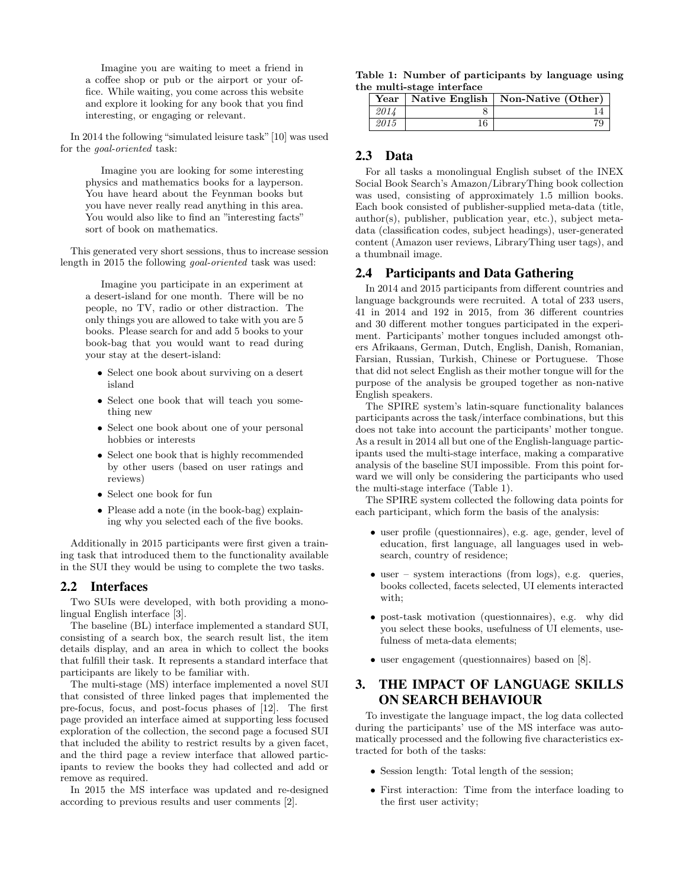Imagine you are waiting to meet a friend in a coffee shop or pub or the airport or your office. While waiting, you come across this website and explore it looking for any book that you find interesting, or engaging or relevant.

In 2014 the following "simulated leisure task"[10] was used for the goal-oriented task:

Imagine you are looking for some interesting physics and mathematics books for a layperson. You have heard about the Feynman books but you have never really read anything in this area. You would also like to find an "interesting facts" sort of book on mathematics.

This generated very short sessions, thus to increase session length in 2015 the following goal-oriented task was used:

Imagine you participate in an experiment at a desert-island for one month. There will be no people, no TV, radio or other distraction. The only things you are allowed to take with you are 5 books. Please search for and add 5 books to your book-bag that you would want to read during your stay at the desert-island:

- Select one book about surviving on a desert island
- Select one book that will teach you something new
- Select one book about one of your personal hobbies or interests
- Select one book that is highly recommended by other users (based on user ratings and reviews)
- Select one book for fun
- Please add a note (in the book-bag) explaining why you selected each of the five books.

Additionally in 2015 participants were first given a training task that introduced them to the functionality available in the SUI they would be using to complete the two tasks.

### 2.2 Interfaces

Two SUIs were developed, with both providing a monolingual English interface [3].

The baseline (BL) interface implemented a standard SUI, consisting of a search box, the search result list, the item details display, and an area in which to collect the books that fulfill their task. It represents a standard interface that participants are likely to be familiar with.

The multi-stage (MS) interface implemented a novel SUI that consisted of three linked pages that implemented the pre-focus, focus, and post-focus phases of [12]. The first page provided an interface aimed at supporting less focused exploration of the collection, the second page a focused SUI that included the ability to restrict results by a given facet, and the third page a review interface that allowed participants to review the books they had collected and add or remove as required.

In 2015 the MS interface was updated and re-designed according to previous results and user comments [2].

|                           | Table 1: Number of participants by language using |  |  |
|---------------------------|---------------------------------------------------|--|--|
| the multi-stage interface |                                                   |  |  |

|      |    | Year   Native English   Non-Native (Other) |
|------|----|--------------------------------------------|
| 2014 |    |                                            |
| 2015 | 16 |                                            |

### 2.3 Data

For all tasks a monolingual English subset of the INEX Social Book Search's Amazon/LibraryThing book collection was used, consisting of approximately 1.5 million books. Each book consisted of publisher-supplied meta-data (title, author(s), publisher, publication year, etc.), subject metadata (classification codes, subject headings), user-generated content (Amazon user reviews, LibraryThing user tags), and a thumbnail image.

### 2.4 Participants and Data Gathering

In 2014 and 2015 participants from different countries and language backgrounds were recruited. A total of 233 users, 41 in 2014 and 192 in 2015, from 36 different countries and 30 different mother tongues participated in the experiment. Participants' mother tongues included amongst others Afrikaans, German, Dutch, English, Danish, Romanian, Farsian, Russian, Turkish, Chinese or Portuguese. Those that did not select English as their mother tongue will for the purpose of the analysis be grouped together as non-native English speakers.

The SPIRE system's latin-square functionality balances participants across the task/interface combinations, but this does not take into account the participants' mother tongue. As a result in 2014 all but one of the English-language participants used the multi-stage interface, making a comparative analysis of the baseline SUI impossible. From this point forward we will only be considering the participants who used the multi-stage interface (Table 1).

The SPIRE system collected the following data points for each participant, which form the basis of the analysis:

- user profile (questionnaires), e.g. age, gender, level of education, first language, all languages used in websearch, country of residence;
- user system interactions (from logs), e.g. queries, books collected, facets selected, UI elements interacted with;
- post-task motivation (questionnaires), e.g. why did you select these books, usefulness of UI elements, usefulness of meta-data elements;
- user engagement (questionnaires) based on [8].

# 3. THE IMPACT OF LANGUAGE SKILLS ON SEARCH BEHAVIOUR

To investigate the language impact, the log data collected during the participants' use of the MS interface was automatically processed and the following five characteristics extracted for both of the tasks:

- Session length: Total length of the session;
- First interaction: Time from the interface loading to the first user activity;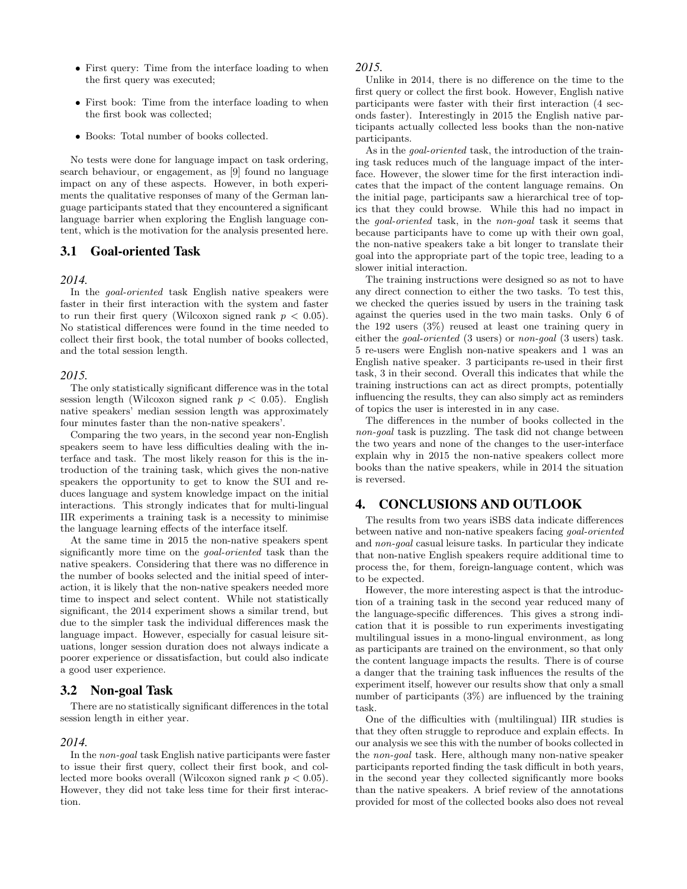- First query: Time from the interface loading to when the first query was executed;
- First book: Time from the interface loading to when the first book was collected;
- Books: Total number of books collected.

No tests were done for language impact on task ordering, search behaviour, or engagement, as [9] found no language impact on any of these aspects. However, in both experiments the qualitative responses of many of the German language participants stated that they encountered a significant language barrier when exploring the English language content, which is the motivation for the analysis presented here.

### 3.1 Goal-oriented Task

#### *2014.*

In the goal-oriented task English native speakers were faster in their first interaction with the system and faster to run their first query (Wilcoxon signed rank  $p < 0.05$ ). No statistical differences were found in the time needed to collect their first book, the total number of books collected, and the total session length.

#### *2015.*

The only statistically significant difference was in the total session length (Wilcoxon signed rank  $p < 0.05$ ). English native speakers' median session length was approximately four minutes faster than the non-native speakers'.

Comparing the two years, in the second year non-English speakers seem to have less difficulties dealing with the interface and task. The most likely reason for this is the introduction of the training task, which gives the non-native speakers the opportunity to get to know the SUI and reduces language and system knowledge impact on the initial interactions. This strongly indicates that for multi-lingual IIR experiments a training task is a necessity to minimise the language learning effects of the interface itself.

At the same time in 2015 the non-native speakers spent significantly more time on the goal-oriented task than the native speakers. Considering that there was no difference in the number of books selected and the initial speed of interaction, it is likely that the non-native speakers needed more time to inspect and select content. While not statistically significant, the 2014 experiment shows a similar trend, but due to the simpler task the individual differences mask the language impact. However, especially for casual leisure situations, longer session duration does not always indicate a poorer experience or dissatisfaction, but could also indicate a good user experience.

### 3.2 Non-goal Task

There are no statistically significant differences in the total session length in either year.

### *2014.*

In the non-goal task English native participants were faster to issue their first query, collect their first book, and collected more books overall (Wilcoxon signed rank  $p < 0.05$ ). However, they did not take less time for their first interaction.

#### *2015.*

Unlike in 2014, there is no difference on the time to the first query or collect the first book. However, English native participants were faster with their first interaction (4 seconds faster). Interestingly in 2015 the English native participants actually collected less books than the non-native participants.

As in the *goal-oriented* task, the introduction of the training task reduces much of the language impact of the interface. However, the slower time for the first interaction indicates that the impact of the content language remains. On the initial page, participants saw a hierarchical tree of topics that they could browse. While this had no impact in the goal-oriented task, in the non-goal task it seems that because participants have to come up with their own goal, the non-native speakers take a bit longer to translate their goal into the appropriate part of the topic tree, leading to a slower initial interaction.

The training instructions were designed so as not to have any direct connection to either the two tasks. To test this, we checked the queries issued by users in the training task against the queries used in the two main tasks. Only 6 of the 192 users (3%) reused at least one training query in either the goal-oriented (3 users) or non-goal (3 users) task. 5 re-users were English non-native speakers and 1 was an English native speaker. 3 participants re-used in their first task, 3 in their second. Overall this indicates that while the training instructions can act as direct prompts, potentially influencing the results, they can also simply act as reminders of topics the user is interested in in any case.

The differences in the number of books collected in the non-goal task is puzzling. The task did not change between the two years and none of the changes to the user-interface explain why in 2015 the non-native speakers collect more books than the native speakers, while in 2014 the situation is reversed.

### 4. CONCLUSIONS AND OUTLOOK

The results from two years iSBS data indicate differences between native and non-native speakers facing goal-oriented and non-goal casual leisure tasks. In particular they indicate that non-native English speakers require additional time to process the, for them, foreign-language content, which was to be expected.

However, the more interesting aspect is that the introduction of a training task in the second year reduced many of the language-specific differences. This gives a strong indication that it is possible to run experiments investigating multilingual issues in a mono-lingual environment, as long as participants are trained on the environment, so that only the content language impacts the results. There is of course a danger that the training task influences the results of the experiment itself, however our results show that only a small number of participants (3%) are influenced by the training task.

One of the difficulties with (multilingual) IIR studies is that they often struggle to reproduce and explain effects. In our analysis we see this with the number of books collected in the non-goal task. Here, although many non-native speaker participants reported finding the task difficult in both years, in the second year they collected significantly more books than the native speakers. A brief review of the annotations provided for most of the collected books also does not reveal